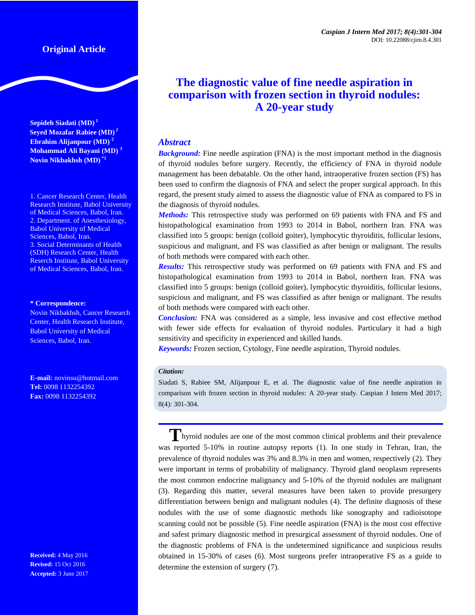# **Original Article**

**Sepideh Siadati (MD) <sup>1</sup> Seyed Mozafar Rabiee (MD) <sup>2</sup> Ebrahim Alijanpour (MD) <sup>2</sup> Mohammad Ali Bayani (MD) <sup>3</sup> Novin Nikbakhsh (MD) \*1**

1. Cancer Research Center, Health Research Institute, Babol University of Medical Sciences, Babol, Iran. 2. Department. of Anesthesiology, Babol University of Medical Sciences, Babol, Iran. 3. Social Determinants of Health (SDH) Research Center, Health Reserch Institute, Babol University of Medical Sciences, Babol, Iran.

#### **\* Correspondence:**

Novin Nikbakhsh, Cancer Research Center, Health Research Institute, Babol University of Medical Sciences, Babol, Iran.

**E-mail:** novinsu@hotmail.com **Tel:** 0098 1132254392 **Fax:** 0098 1132254392

**Received:** 4 May 2016 **Revised:** 15 Oct 2016 **Accepted:** 3 June 2017

# **The diagnostic value of fine needle aspiration in comparison with frozen section in thyroid nodules: A 20-year study**

# *Abstract*

*Background:* Fine needle aspiration (FNA) is the most important method in the diagnosis of thyroid nodules before surgery. Recently, the efficiency of FNA in thyroid nodule management has been debatable. On the other hand, intraoperative frozen section (FS) has been used to confirm the diagnosis of FNA and select the proper surgical approach. In this regard, the present study aimed to assess the diagnostic value of FNA as compared to FS in the diagnosis of thyroid nodules.

*Methods:* This retrospective study was performed on 69 patients with FNA and FS and histopathological examination from 1993 to 2014 in Babol, northern Iran. FNA was classified into 5 groups: benign (colloid goiter), lymphocytic thyroiditis, follicular lesions, suspicious and malignant, and FS was classified as after benign or malignant. The results of both methods were compared with each other.

*Results:* This retrospective study was performed on 69 patients with FNA and FS and histopathological examination from 1993 to 2014 in Babol, northern Iran. FNA was classified into 5 groups: benign (colloid goiter), lymphocytic thyroiditis, follicular lesions, suspicious and malignant, and FS was classified as after benign or malignant. The results of both methods were compared with each other.

*Conclusion:* FNA was considered as a simple, less invasive and cost effective method with fewer side effects for evaluation of thyroid nodules. Particulary it had a high sensitivity and specificity in experienced and skilled hands.

*Keywords:* Frozen section, Cytology, Fine needle aspiration, Thyroid nodules.

#### *Citation:*

Siadati S, Rabiee SM, Alijanpour E, et al. The diagnostic value of fine needle aspiration in comparison with frozen section in thyroid nodules: A 20-year study. Caspian J Intern Med 2017; 8(4): 301-304.

**T**hyroid nodules are one of the most common clinical problems and their prevalence was reported 5-10% in routine autopsy reports (1). In one study in Tehran, Iran, the prevalence of thyroid nodules was 3% and 8.3% in men and women, respectively (2). They were important in terms of probability of malignancy. Thyroid gland neoplasm represents the most common endocrine malignancy and 5-10% of the thyroid nodules are malignant (3). Regarding this matter, several measures have been taken to provide presurgery differentiation between benign and malignant nodules (4). The definite diagnosis of these nodules with the use of some diagnostic methods like sonography and radioisotope scanning could not be possible (5). Fine needle aspiration (FNA) is the most cost effective and safest primary diagnostic method in presurgical assessment of thyroid nodules. One of the diagnostic problems of FNA is the undetermined significance and suspicious results obtained in 15-30% of cases (6). Most surgeons prefer intraoperative FS as a guide to determine the extension of surgery (7).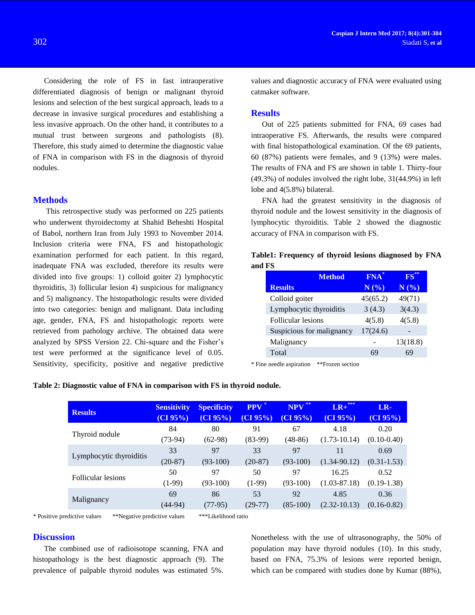Considering the role of FS in fast intraoperative differentiated diagnosis of benign or malignant thyroid lesions and selection of the best surgical approach, leads to a decrease in invasive surgical procedures and establishing a less invasive approach. On the other hand, it contributes to a mutual trust between surgeons and pathologists (8). Therefore, this study aimed to determine the diagnostic value of FNA in comparison with FS in the diagnosis of thyroid nodules.

#### **Methods**

This retrospective study was performed on 225 patients who underwent thyroidectomy at Shahid Beheshti Hospital of Babol, northern Iran from July 1993 to November 2014. Inclusion criteria were FNA, FS and histopathologic examination performed for each patient. In this regard, inadequate FNA was excluded, therefore its results were divided into five groups: 1) colloid goiter 2) lymphocytic thyroiditis, 3) follicular lesion 4) suspicious for malignancy and 5) malignancy. The histopathologic results were divided into two categories: benign and malignant. Data including age, gender, FNA, FS and histopathologic reports were retrieved from pathology archive. The obtained data were analyzed by SPSS Version 22. Chi-square and the Fisher's test were performed at the significance level of 0.05. Sensitivity, specificity, positive and negative predictive

values and diagnostic accuracy of FNA were evaluated using catmaker software.

#### **Results**

Out of 225 patients submitted for FNA, 69 cases had intraoperative FS. Afterwards, the results were compared with final histopathological examination. Of the 69 patients, 60 (87%) patients were females, and 9 (13%) were males. The results of FNA and FS are shown in table 1. Thirty-four (49.3%) of nodules involved the right lobe, 31(44.9%) in left lobe and 4(5.8%) bilateral.

FNA had the greatest sensitivity in the diagnosis of thyroid nodule and the lowest sensitivity in the diagnosis of lymphocytic thyroiditis. Table 2 showed the diagnostic accuracy of FNA in comparison with FS.

| Table1: Frequency of thyroid lesions diagnosed by FNA |  |  |  |
|-------------------------------------------------------|--|--|--|
| and FS                                                |  |  |  |

| <b>Method</b>             | FNA <sup>*</sup> | $FS^*$   |
|---------------------------|------------------|----------|
| <b>Results</b>            | N(%)             | N(%)     |
| Colloid goiter            | 45(65.2)         | 49(71)   |
| Lymphocytic thyroiditis   | 3(4.3)           | 3(4.3)   |
| <b>Follicular lesions</b> | 4(5.8)           | 4(5.8)   |
| Suspicious for malignancy | 17(24.6)         |          |
| Malignancy                |                  | 13(18.8) |
| Total                     | 69               | 69       |

\* Fine needle aspiration \*\*Frozen section

|  | Table 2: Diagnostic value of FNA in comparison with FS in thyroid nodule. |  |  |  |  |
|--|---------------------------------------------------------------------------|--|--|--|--|
|  |                                                                           |  |  |  |  |

| <b>Results</b>          | <b>Sensitivity</b><br>(CI 95%) | <b>Specificity</b><br>(CI 95%) | $PPV$ <sup>*</sup><br>(CI 95%) | <b>NPV</b><br>(CI 95%) | ***<br>$LR+$<br>(CI 95%) | LR-<br>(CI 95%) |
|-------------------------|--------------------------------|--------------------------------|--------------------------------|------------------------|--------------------------|-----------------|
| Thyroid nodule          | 84                             | 80                             | 91                             | 67                     | 4.18                     | 0.20            |
|                         | $(73-94)$                      | $(62-98)$                      | $(83-99)$                      | $(48-86)$              | $(1.73 - 10.14)$         | $(0.10 - 0.40)$ |
| Lymphocytic thyroiditis | 33                             | 97                             | 33                             | 97                     | 11                       | 0.69            |
|                         | $(20-87)$                      | $(93-100)$                     | $(20-87)$                      | $(93-100)$             | $(1.34 - 90.12)$         | $(0.31 - 1.53)$ |
| Follicular lesions      | 50                             | 97                             | 50                             | 97                     | 16.25                    | 0.52            |
|                         | $(1-99)$                       | $(93-100)$                     | $(1-99)$                       | $(93-100)$             | $(1.03 - 87.18)$         | $(0.19-1.38)$   |
| Malignancy              | 69                             | 86                             | 53                             | 92                     | 4.85                     | 0.36            |
|                         | $(44-94)$                      | $(77-95)$                      | $(29-77)$                      | $(85-100)$             | $(2.32 - 10.13)$         | $(0.16 - 0.82)$ |

\* Positive predictive values \*\*Negative predictive values \*\*\*Likelihood ratio

#### **Discussion**

The combined use of radioisotope scanning, FNA and histopathology is the best diagnostic approach (9). The prevalence of palpable thyroid nodules was estimated 5%. Nonetheless with the use of ultrasonography, the 50% of population may have thyroid nodules (10). In this study, based on FNA, 75.3% of lesions were reported benign, which can be compared with studies done by Kumar (88%),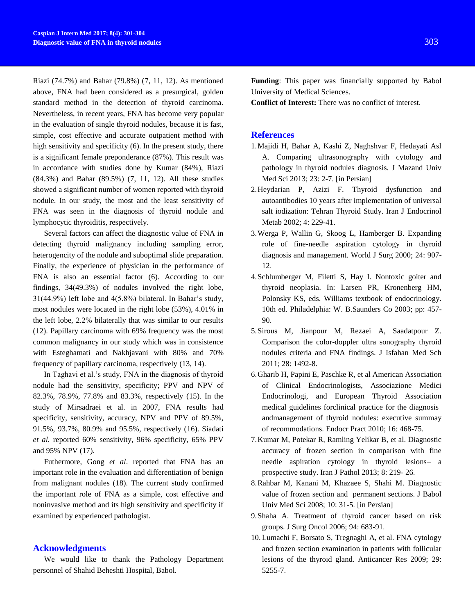Riazi (74.7%) and Bahar (79.8%) (7, 11, 12). As mentioned above, FNA had been considered as a presurgical, golden standard method in the detection of thyroid carcinoma. Nevertheless, in recent years, FNA has become very popular in the evaluation of single thyroid nodules, because it is fast, simple, cost effective and accurate outpatient method with high sensitivity and specificity (6). In the present study, there is a significant female preponderance (87%). This result was in accordance with studies done by Kumar (84%), Riazi (84.3%) and Bahar (89.5%) (7, 11, 12). All these studies showed a significant number of women reported with thyroid nodule. In our study, the most and the least sensitivity of FNA was seen in the diagnosis of thyroid nodule and lymphocytic thyroiditis, respectively.

Several factors can affect the diagnostic value of FNA in detecting thyroid malignancy including sampling error, heterogencity of the nodule and suboptimal slide preparation. Finally, the experience of physician in the performance of FNA is also an essential factor (6). According to our findings, 34(49.3%) of nodules involved the right lobe, 31(44.9%) left lobe and 4(5.8%) bilateral. In Bahar's study, most nodules were located in the right lobe (53%), 4.01% in the left lobe, 2.2% bilaterally that was similar to our results (12). Papillary carcinoma with 69% frequency was the most common malignancy in our study which was in consistence with Esteghamati and Nakhjavani with 80% and 70% frequency of papillary carcinoma, respectively (13, 14).

In Taghavi et al.'s study, FNA in the diagnosis of thyroid nodule had the sensitivity, specificity; PPV and NPV of 82.3%, 78.9%, 77.8% and 83.3%, respectively (15). In the study of Mirsadraei et al. in 2007, FNA results had specificity, sensitivity, accuracy, NPV and PPV of 89.5%, 91.5%, 93.7%, 80.9% and 95.5%, respectively (16). Siadati *et al.* reported 60% sensitivity, 96% specificity, 65% PPV and 95% NPV (17).

Futhermore, Gong *et al*. reported that FNA has an important role in the evaluation and differentiation of benign from malignant nodules (18). The current study confirmed the important role of FNA as a simple, cost effective and noninvasive method and its high sensitivity and specificity if examined by experienced pathologist.

### **Acknowledgments**

We would like to thank the Pathology Department personnel of Shahid Beheshti Hospital, Babol.

**Funding**: This paper was financially supported by Babol University of Medical Sciences.

**Conflict of Interest:** There was no conflict of interest.

#### **References**

- 1.Majidi H, Bahar A, Kashi Z, Naghshvar F, Hedayati Asl A. Comparing ultrasonography with cytology and pathology in thyroid nodules diagnosis. J Mazand Univ Med Sci 2013; 23: 2-7. [in Persian]
- 2.Heydarian P, Azizi F. Thyroid dysfunction and autoantibodies 10 years after implementation of universal salt iodization: Tehran Thyroid Study. Iran J Endocrinol Metab 2002; 4: 229-41.
- 3.Werga P, Wallin G, Skoog L, Hamberger B. Expanding role of fine-needle aspiration cytology in thyroid diagnosis and management. World J Surg 2000; 24: 907- 12.
- 4.Schlumberger M, Filetti S, Hay I. Nontoxic goiter and thyroid neoplasia. In: Larsen PR, Kronenberg HM, Polonsky KS, eds. Williams textbook of endocrinology. 10th ed. Philadelphia: W. B.Saunders Co 2003; pp: 457- 90.
- 5.Sirous M, Jianpour M, Rezaei A, Saadatpour Z. Comparison the color-doppler ultra sonography thyroid nodules criteria and FNA findings. J Isfahan Med Sch 2011; 28: 1492-8.
- 6.Gharib H, Papini E, Paschke R, et al American Association of Clinical Endocrinologists, Associazione Medici Endocrinologi, and European Thyroid Association medical guidelines forclinical practice for the diagnosis andmanagement of thyroid nodules: executive summay of recommodations. Endocr Pract 2010; 16: 468-75.
- 7.Kumar M, Potekar R, Ramling Yelikar B, et al. Diagnostic accuracy of frozen section in comparison with fine needle aspiration cytology in thyroid lesions– a prospective study. Iran J Pathol 2013; 8: 219- 26.
- 8.Rahbar M, Kanani M, Khazaee S, Shahi M. Diagnostic value of frozen section and permanent sections. J Babol Univ Med Sci 2008; 10: 31-5. [in Persian]
- 9.Shaha A. Treatment of thyroid cancer based on risk groups. J Surg Oncol 2006; 94: 683-91.
- 10. Lumachi F, Borsato S, Tregnaghi A, et al. FNA cytology and frozen section examination in patients with follicular lesions of the thyroid gland. Anticancer Res 2009; 29: 5255-7.